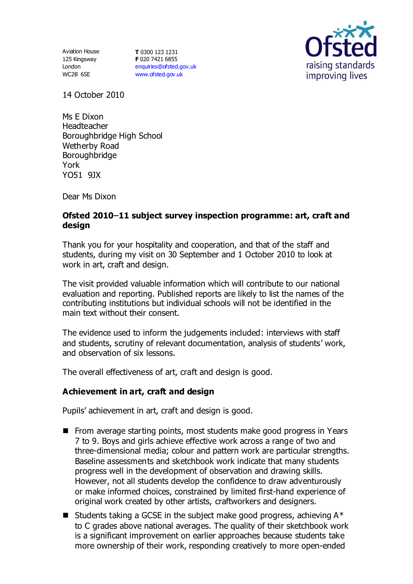125 Kingsway London WC2B 6SE

Aviation House **T** 0300 123 1231 **F** 020 7421 6855 [enquiries@ofsted.gov.uk](mailto:enquiries@ofsted.gov.uk) [www.ofsted.gov.uk](http://www.ofsted.gov.uk/)



14 October 2010

Ms E Dixon Headteacher Boroughbridge High School Wetherby Road Boroughbridge York YO51 9JX

Dear Ms Dixon

## **Ofsted 2010 11 subject survey inspection programme: art, craft and design**

Thank you for your hospitality and cooperation, and that of the staff and students, during my visit on 30 September and 1 October 2010 to look at work in art, craft and design.

The visit provided valuable information which will contribute to our national evaluation and reporting. Published reports are likely to list the names of the contributing institutions but individual schools will not be identified in the main text without their consent.

The evidence used to inform the judgements included: interviews with staff and students, scrutiny of relevant documentation, analysis of students' work, and observation of six lessons.

The overall effectiveness of art, craft and design is good.

## **Achievement in art, craft and design**

Pupils' achievement in art, craft and design is good.

- From average starting points, most students make good progress in Years 7 to 9. Boys and girls achieve effective work across a range of two and three-dimensional media; colour and pattern work are particular strengths. Baseline assessments and sketchbook work indicate that many students progress well in the development of observation and drawing skills. However, not all students develop the confidence to draw adventurously or make informed choices, constrained by limited first-hand experience of original work created by other artists, craftworkers and designers.
- **E** Students taking a GCSE in the subject make good progress, achieving  $A^*$ to C grades above national averages. The quality of their sketchbook work is a significant improvement on earlier approaches because students take more ownership of their work, responding creatively to more open-ended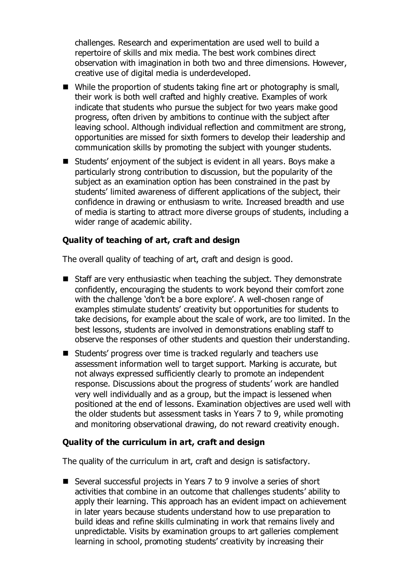challenges. Research and experimentation are used well to build a repertoire of skills and mix media. The best work combines direct observation with imagination in both two and three dimensions. However, creative use of digital media is underdeveloped.

- While the proportion of students taking fine art or photography is small, their work is both well crafted and highly creative. Examples of work indicate that students who pursue the subject for two years make good progress, often driven by ambitions to continue with the subject after leaving school. Although individual reflection and commitment are strong, opportunities are missed for sixth formers to develop their leadership and communication skills by promoting the subject with younger students.
- Students' enjoyment of the subject is evident in all years. Boys make a particularly strong contribution to discussion, but the popularity of the subject as an examination option has been constrained in the past by students' limited awareness of different applications of the subject, their confidence in drawing or enthusiasm to write. Increased breadth and use of media is starting to attract more diverse groups of students, including a wider range of academic ability.

# **Quality of teaching of art, craft and design**

The overall quality of teaching of art, craft and design is good.

- Staff are very enthusiastic when teaching the subject. They demonstrate confidently, encouraging the students to work beyond their comfort zone with the challenge 'don't be a bore explore'. A well-chosen range of examples stimulate students' creativity but opportunities for students to take decisions, for example about the scale of work, are too limited. In the best lessons, students are involved in demonstrations enabling staff to observe the responses of other students and question their understanding.
- Students' progress over time is tracked regularly and teachers use assessment information well to target support. Marking is accurate, but not always expressed sufficiently clearly to promote an independent response. Discussions about the progress of students' work are handled very well individually and as a group, but the impact is lessened when positioned at the end of lessons. Examination objectives are used well with the older students but assessment tasks in Years 7 to 9, while promoting and monitoring observational drawing, do not reward creativity enough.

## **Quality of the curriculum in art, craft and design**

The quality of the curriculum in art, craft and design is satisfactory.

■ Several successful projects in Years 7 to 9 involve a series of short activities that combine in an outcome that challenges students' ability to apply their learning. This approach has an evident impact on achievement in later years because students understand how to use preparation to build ideas and refine skills culminating in work that remains lively and unpredictable. Visits by examination groups to art galleries complement learning in school, promoting students' creativity by increasing their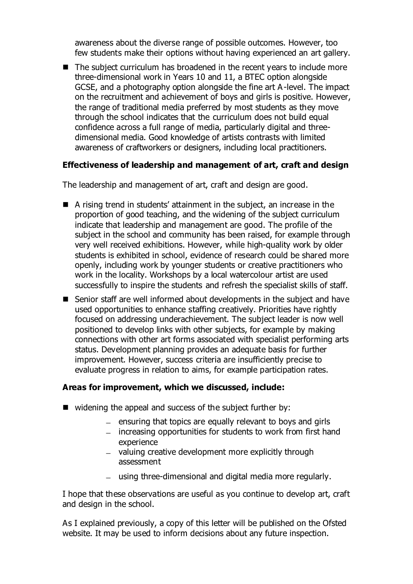awareness about the diverse range of possible outcomes. However, too few students make their options without having experienced an art gallery.

■ The subject curriculum has broadened in the recent years to include more three-dimensional work in Years 10 and 11, a BTEC option alongside GCSE, and a photography option alongside the fine art A-level. The impact on the recruitment and achievement of boys and girls is positive. However, the range of traditional media preferred by most students as they move through the school indicates that the curriculum does not build equal confidence across a full range of media, particularly digital and threedimensional media. Good knowledge of artists contrasts with limited awareness of craftworkers or designers, including local practitioners.

# **Effectiveness of leadership and management of art, craft and design**

The leadership and management of art, craft and design are good.

- A rising trend in students' attainment in the subject, an increase in the proportion of good teaching, and the widening of the subject curriculum indicate that leadership and management are good. The profile of the subject in the school and community has been raised, for example through very well received exhibitions. However, while high-quality work by older students is exhibited in school, evidence of research could be shared more openly, including work by younger students or creative practitioners who work in the locality. Workshops by a local watercolour artist are used successfully to inspire the students and refresh the specialist skills of staff.
- Senior staff are well informed about developments in the subject and have used opportunities to enhance staffing creatively. Priorities have rightly focused on addressing underachievement. The subject leader is now well positioned to develop links with other subjects, for example by making connections with other art forms associated with specialist performing arts status. Development planning provides an adequate basis for further improvement. However, success criteria are insufficiently precise to evaluate progress in relation to aims, for example participation rates.

## **Areas for improvement, which we discussed, include:**

- $\blacksquare$  widening the appeal and success of the subject further by:
	- $-$  ensuring that topics are equally relevant to boys and girls
	- increasing opportunities for students to work from first hand experience
	- valuing creative development more explicitly through assessment
	- using three-dimensional and digital media more regularly.

I hope that these observations are useful as you continue to develop art, craft and design in the school.

As I explained previously, a copy of this letter will be published on the Ofsted website. It may be used to inform decisions about any future inspection.